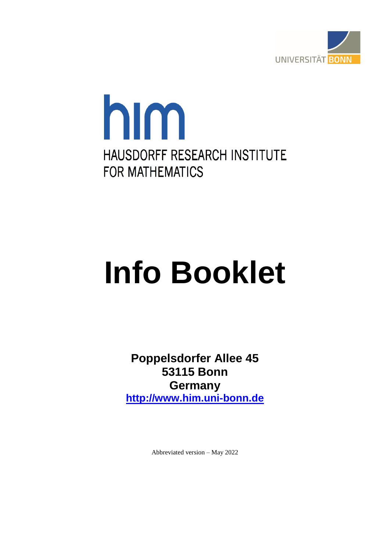

## him HAUSDORFF RESEARCH INSTITUTE **FOR MATHEMATICS**

# **Info Booklet**

**Poppelsdorfer Allee 45 53115 Bonn Germany [http://www.him.uni-bonn.de](http://www.him.uni-bonn.de/)**

Abbreviated version – May 2022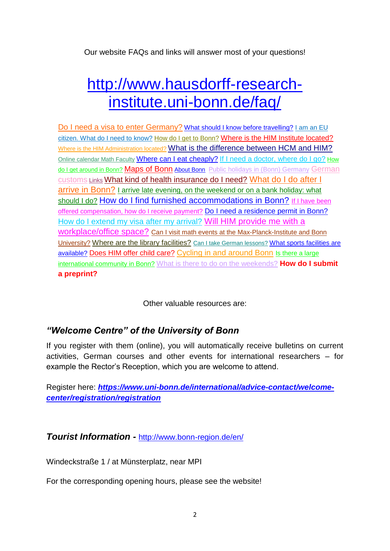Our website FAQs and links will answer most of your questions!

### [http://www.hausdorff-research](http://www.hausdorff-research-institute.uni-bonn.de/faq/)[institute.uni-bonn.de/faq/](http://www.hausdorff-research-institute.uni-bonn.de/faq/)

[Do I need a visa to enter Germany?](http://www.hausdorff-research-institute.uni-bonn.de/faq#frage1) [What should I know before travelling?](http://www.hausdorff-research-institute.uni-bonn.de/faq#frage2) I am an EU [citizen. What do I need to know?](http://www.hausdorff-research-institute.uni-bonn.de/faq#frage31) [How do I get to Bonn?](http://www.hausdorff-research-institute.uni-bonn.de/faq#frage6) [Where is the HIM Institute located?](http://www.hausdorff-research-institute.uni-bonn.de/faq#frage7) [Where is the HIM Administration located?](http://www.hausdorff-research-institute.uni-bonn.de/faq#frage8) [What is the difference between HCM and HIM?](http://www.hausdorff-research-institute.uni-bonn.de/faq#frage23) [Online calendar Math Faculty](http://wopro.math.uni-bonn.de/cgi-bin/ifehd.cgi) [Where can I eat cheaply?](http://www.hausdorff-research-institute.uni-bonn.de/faq#frage16) [If I need a doctor, where do I go?](http://www.hausdorff-research-institute.uni-bonn.de/faq#frage19) How [do I get around in Bonn?](http://www.hausdorff-research-institute.uni-bonn.de/faq#frage21) [Maps of Bonn](http://www.hausdorff-research-institute.uni-bonn.de/faq#frage7) [About Bonn](http://www.hausdorff-research-institute.uni-bonn.de/faq#frage24) [Public holidays in \(Bonn\) Germany](http://www.hausdorff-research-institute.uni-bonn.de/faq#frage28) German [customs](http://www.hausdorff-research-institute.uni-bonn.de/faq#frage30) [Links](http://www.hausdorff-research-institute.uni-bonn.de/faq#frage29) [What kind of health insurance do I need?](http://www.hausdorff-research-institute.uni-bonn.de/faq#frage4) [What do I do after I](http://www.hausdorff-research-institute.uni-bonn.de/faq#frage9)  [arrive in Bonn?](http://www.hausdorff-research-institute.uni-bonn.de/faq#frage9) [I arrive late evening, on the weekend or on a bank holiday: what](http://www.hausdorff-research-institute.uni-bonn.de/faq#frage10)  [should I do?](http://www.hausdorff-research-institute.uni-bonn.de/faq#frage10) [How do I find furnished accommodations in Bonn?](http://www.hausdorff-research-institute.uni-bonn.de/faq#frage5) If I have been [offered compensation, how do I receive payment?](http://www.hausdorff-research-institute.uni-bonn.de/faq#frage3) [Do I need a residence permit in Bonn?](http://www.hausdorff-research-institute.uni-bonn.de/faq#frage11) [How do I extend my visa after my arrival?](http://www.hausdorff-research-institute.uni-bonn.de/faq#frage12) [Will HIM provide me with a](http://www.hausdorff-research-institute.uni-bonn.de/faq#frage13)  [workplace/office space?](http://www.hausdorff-research-institute.uni-bonn.de/faq#frage13) [Can I visit math events at the Max-Planck-Institute and Bonn](http://www.hausdorff-research-institute.uni-bonn.de/faq#frage14)  [University?](http://www.hausdorff-research-institute.uni-bonn.de/faq#frage14) [Where are the library facilities?](http://www.hausdorff-research-institute.uni-bonn.de/faq#frage15) Can I take [German lessons?](http://www.hausdorff-research-institute.uni-bonn.de/faq#frage17) What sports facilities are [available?](http://www.hausdorff-research-institute.uni-bonn.de/faq#frage18) [Does HIM offer child care?](http://www.hausdorff-research-institute.uni-bonn.de/faq#frage20) [Cycling in and around Bonn](http://www.hausdorff-research-institute.uni-bonn.de/faq#frage27) Is there a large [international community in Bonn?](http://www.hausdorff-research-institute.uni-bonn.de/faq#frage25) [What is there to do on the weekends?](http://www.hausdorff-research-institute.uni-bonn.de/faq#frage26) **How do I submit a preprint?**

Other valuable resources are:

#### *"Welcome Centre" of the University of Bonn*

If you register with them (online), you will automatically receive bulletins on current activities, German courses and other events for international researchers – for example the Rector's Reception, which you are welcome to attend.

Register here: *[https://www.uni-bonn.de/international/advice-contact/welcome](https://www.uni-bonn.de/international/advice-contact/welcome-center/registration/registration)[center/registration/registration](https://www.uni-bonn.de/international/advice-contact/welcome-center/registration/registration)*

#### *Tourist Information -* <http://www.bonn-region.de/en/>

Windeckstraße 1 / at Münsterplatz, near MPI

For the corresponding opening hours, please see the website!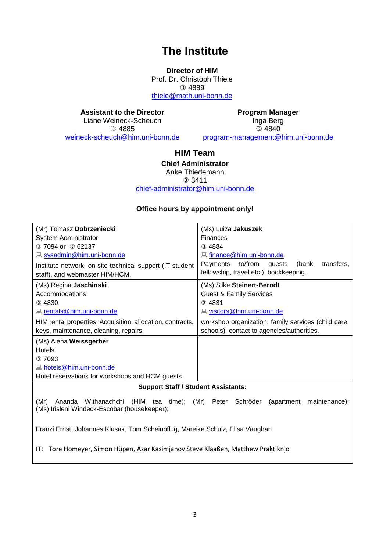#### **The Institute**

**Director of HIM** Prof. Dr. Christoph Thiele  $Q$  4889 [thiele@math.uni-bonn.de](mailto:thiele@math.uni-bonn.de)

**Assistant to the Director**

Liane Weineck-Scheuch 4885 [weineck-scheuch@him.uni-bonn.de](mailto:weineck-scheuch@him.uni-bonn.de)

**Program Manager** Inga Berg  $Q$  4840 program-management@him.uni-bonn.de

#### **HIM Team**

**Chief Administrator** Anke Thiedemann  $①$  3411 [chief-administrator@him.uni-bonn.de](mailto:chief-administrator@him.uni-bonn.de)

#### **Office hours by appointment only!**

| (Mr) Tomasz Dobrzeniecki                                                                                                            | (Ms) Luiza Jakuszek                                  |
|-------------------------------------------------------------------------------------------------------------------------------------|------------------------------------------------------|
| <b>System Administrator</b>                                                                                                         | <b>Finances</b>                                      |
| $(2)$ 7094 or $(2)$ 62137                                                                                                           | $Q$ 4884                                             |
| sysadmin@him.uni-bonn.de                                                                                                            | ■ finance@him.uni-bonn.de                            |
| Institute network, on-site technical support (IT student                                                                            | to/from<br>transfers,<br>Payments<br>(bank<br>guests |
| staff), and webmaster HIM/HCM.                                                                                                      | fellowship, travel etc.), bookkeeping.               |
| (Ms) Regina Jaschinski                                                                                                              | (Ms) Silke Steinert-Berndt                           |
| Accommodations                                                                                                                      | <b>Guest &amp; Family Services</b>                   |
| $Q$ 4830                                                                                                                            | ①4831                                                |
| I rentals@him.uni-bonn.de                                                                                                           | <u>la visitors@him.uni-bonn.de</u>                   |
| HIM rental properties: Acquisition, allocation, contracts,                                                                          | workshop organization, family services (child care,  |
| keys, maintenance, cleaning, repairs.                                                                                               | schools), contact to agencies/authorities.           |
| (Ms) Alena Weissgerber                                                                                                              |                                                      |
| Hotels                                                                                                                              |                                                      |
| $Q$ 7093                                                                                                                            |                                                      |
| ■ hotels@him.uni-bonn.de                                                                                                            |                                                      |
| Hotel reservations for workshops and HCM guests.                                                                                    |                                                      |
| $\mathbf{Q}$ and $\mathbf{Q}$ and $\mathbf{Q}$ and $\mathbf{Q}$ and $\mathbf{Q}$ and $\mathbf{Q}$ and $\mathbf{Q}$ and $\mathbf{Q}$ |                                                      |

**Support Staff / Student Assistants:**

(Mr) Ananda Withanachchi (HIM tea time); (Mr) Peter Schröder (apartment maintenance); (Ms) Irisleni Windeck-Escobar (housekeeper);

Franzi Ernst, Johannes Klusak, Tom Scheinpflug, Mareike Schulz, Elisa Vaughan

IT: Tore Homeyer, Simon Hüpen, Azar Kasimjanov Steve Klaaßen, Matthew Praktiknjo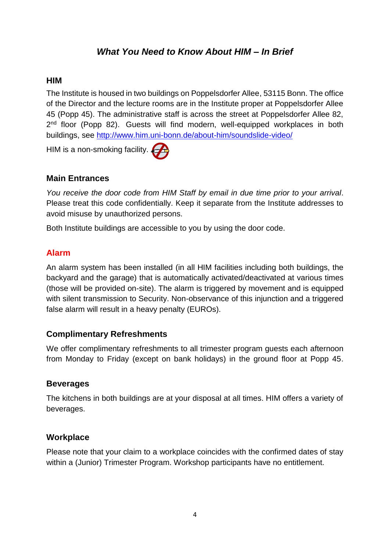#### *What You Need to Know About HIM – In Brief*

#### **HIM**

The Institute is housed in two buildings on Poppelsdorfer Allee, 53115 Bonn. The office of the Director and the lecture rooms are in the Institute proper at Poppelsdorfer Allee 45 (Popp 45). The administrative staff is across the street at Poppelsdorfer Allee 82, 2<sup>nd</sup> floor (Popp 82). Guests will find modern, well-equipped workplaces in both buildings, see<http://www.him.uni-bonn.de/about-him/soundslide-video/>

HIM is a non-smoking facility.

#### **Main Entrances**

*You receive the door code from HIM Staff by email in due time prior to your arrival*. Please treat this code confidentially. Keep it separate from the Institute addresses to avoid misuse by unauthorized persons.

Both Institute buildings are accessible to you by using the door code.

#### **Alarm**

An alarm system has been installed (in all HIM facilities including both buildings, the backyard and the garage) that is automatically activated/deactivated at various times (those will be provided on-site). The alarm is triggered by movement and is equipped with silent transmission to Security. Non-observance of this injunction and a triggered false alarm will result in a heavy penalty (EUROs).

#### **Complimentary Refreshments**

We offer complimentary refreshments to all trimester program guests each afternoon from Monday to Friday (except on bank holidays) in the ground floor at Popp 45.

#### **Beverages**

The kitchens in both buildings are at your disposal at all times. HIM offers a variety of beverages.

#### **Workplace**

Please note that your claim to a workplace coincides with the confirmed dates of stay within a (Junior) Trimester Program. Workshop participants have no entitlement.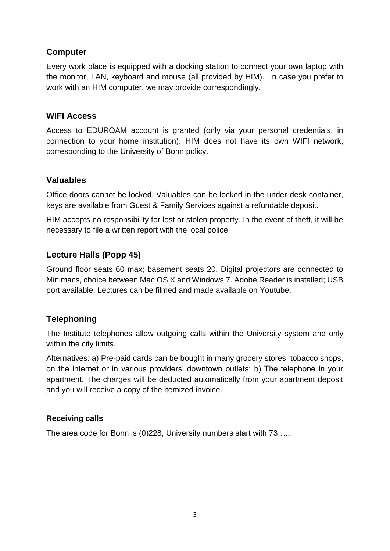#### **Computer**

Every work place is equipped with a docking station to connect your own laptop with the monitor, LAN, keyboard and mouse (all provided by HIM). In case you prefer to work with an HIM computer, we may provide correspondingly.

#### **WIFI Access**

Access to EDUROAM account is granted (only via your personal credentials, in connection to your home institution). HIM does not have its own WIFI network, corresponding to the University of Bonn policy.

#### **Valuables**

Office doors cannot be locked. Valuables can be locked in the under-desk container, keys are available from Guest & Family Services against a refundable deposit.

HIM accepts no responsibility for lost or stolen property. In the event of theft, it will be necessary to file a written report with the local police.

#### **Lecture Halls (Popp 45)**

Ground floor seats 60 max; basement seats 20. Digital projectors are connected to Minimacs, choice between Mac OS X and Windows 7. Adobe Reader is installed; USB port available. Lectures can be filmed and made available on Youtube.

#### **Telephoning**

The Institute telephones allow outgoing calls within the University system and only within the city limits.

Alternatives: a) Pre-paid cards can be bought in many grocery stores, tobacco shops, on the internet or in various providers' downtown outlets; b) The telephone in your apartment. The charges will be deducted automatically from your apartment deposit and you will receive a copy of the itemized invoice.

#### **Receiving calls**

The area code for Bonn is (0)228; University numbers start with 73…...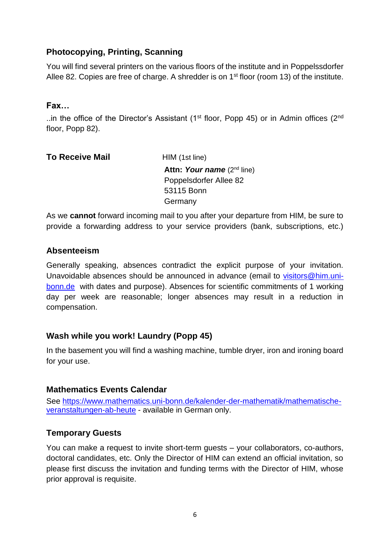#### **Photocopying, Printing, Scanning**

You will find several printers on the various floors of the institute and in Poppelssdorfer Allee 82. Copies are free of charge. A shredder is on  $1<sup>st</sup>$  floor (room 13) of the institute.

#### **Fax…**

..in the office of the Director's Assistant (1<sup>st</sup> floor, Popp 45) or in Admin offices (2<sup>nd</sup> floor, Popp 82).

| <b>To Receive Mail</b> | HIM (1st line)                         |
|------------------------|----------------------------------------|
|                        | <b>Attn: Your name</b> $(2^{nd}$ line) |
|                        | Poppelsdorfer Allee 82                 |
|                        | 53115 Bonn                             |
|                        | Germany                                |
|                        |                                        |

As we **cannot** forward incoming mail to you after your departure from HIM, be sure to provide a forwarding address to your service providers (bank, subscriptions, etc.)

#### **Absenteeism**

Generally speaking, absences contradict the explicit purpose of your invitation. Unavoidable absences should be announced in advance (email to [visitors@him.uni](mailto:visitors@him.uni-bonn.de)[bonn.de](mailto:visitors@him.uni-bonn.de) with dates and purpose). Absences for scientific commitments of 1 working day per week are reasonable; longer absences may result in a reduction in compensation.

#### **Wash while you work! Laundry (Popp 45)**

In the basement you will find a washing machine, tumble dryer, iron and ironing board for your use.

#### **Mathematics Events Calendar**

See [https://www.mathematics.uni-bonn.de/kalender-der-mathematik/mathematische](https://www.mathematics.uni-bonn.de/kalender-der-mathematik/mathematische-veranstaltungen-ab-heute)[veranstaltungen-ab-heute](https://www.mathematics.uni-bonn.de/kalender-der-mathematik/mathematische-veranstaltungen-ab-heute) - available in German only.

#### **Temporary Guests**

You can make a request to invite short-term guests – your collaborators, co-authors, doctoral candidates, etc. Only the Director of HIM can extend an official invitation, so please first discuss the invitation and funding terms with the Director of HIM, whose prior approval is requisite.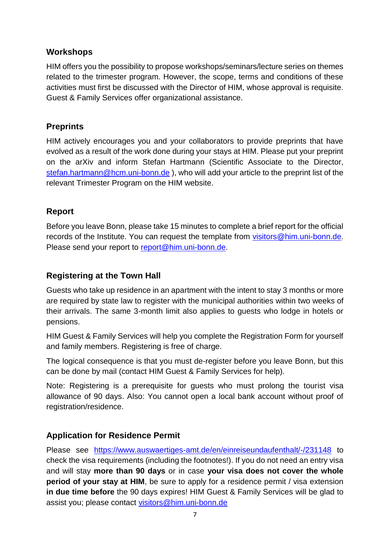#### **Workshops**

HIM offers you the possibility to propose workshops/seminars/lecture series on themes related to the trimester program. However, the scope, terms and conditions of these activities must first be discussed with the Director of HIM, whose approval is requisite. Guest & Family Services offer organizational assistance.

#### **Preprints**

HIM actively encourages you and your collaborators to provide preprints that have evolved as a result of the work done during your stays at HIM. Please put your preprint on the arXiv and inform Stefan Hartmann (Scientific Associate to the Director, [stefan.hartmann@hcm.uni-bonn.de](mailto:stefan.hartmann@hcm.uni-bonn.de) ), who will add your article to the preprint list of the relevant Trimester Program on the HIM website.

#### **Report**

Before you leave Bonn, please take 15 minutes to complete a brief report for the official records of the Institute. You can request the template from [visitors@him.uni-bonn.de.](mailto:visitors@him.uni-bonn.de) Please send your report to [report@him.uni-bonn.de.](mailto:report@him.uni-bonn.de)

#### **Registering at the Town Hall**

Guests who take up residence in an apartment with the intent to stay 3 months or more are required by state law to register with the municipal authorities within two weeks of their arrivals. The same 3-month limit also applies to guests who lodge in hotels or pensions.

HIM Guest & Family Services will help you complete the Registration Form for yourself and family members. Registering is free of charge.

The logical consequence is that you must de-register before you leave Bonn, but this can be done by mail (contact HIM Guest & Family Services for help).

Note: Registering is a prerequisite for guests who must prolong the tourist visa allowance of 90 days. Also: You cannot open a local bank account without proof of registration/residence.

#### **Application for Residence Permit**

Please see <https://www.auswaertiges-amt.de/en/einreiseundaufenthalt/-/231148> to check the visa requirements (including the footnotes!). If you do not need an entry visa and will stay **more than 90 days** or in case **your visa does not cover the whole period of your stay at HIM**, be sure to apply for a residence permit / visa extension **in due time before** the 90 days expires! HIM Guest & Family Services will be glad to assist you; please contact [visitors@him.uni-bonn.de](mailto:visitors@him.uni-bonn.de)